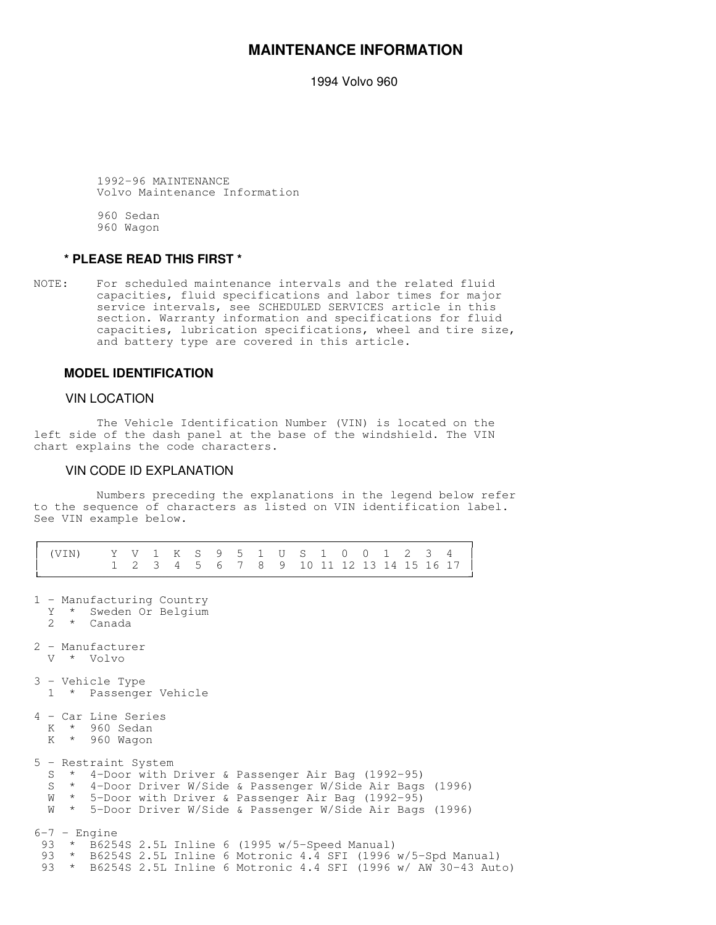# **MAINTENANCE INFORMATION**

1994 Volvo 960

 1992-96 MAINTENANCE Volvo Maintenance Information

 960 Sedan 960 Wagon

# **\* PLEASE READ THIS FIRST \***

NOTE: For scheduled maintenance intervals and the related fluid capacities, fluid specifications and labor times for major service intervals, see SCHEDULED SERVICES article in this section. Warranty information and specifications for fluid capacities, lubrication specifications, wheel and tire size, and battery type are covered in this article.

## **MODEL IDENTIFICATION**

### VIN LOCATION

-

 The Vehicle Identification Number (VIN) is located on the left side of the dash panel at the base of the windshield. The VIN chart explains the code characters.

## VIN CODE ID EXPLANATION

 Numbers preceding the explanations in the legend below refer to the sequence of characters as listed on VIN identification label. See VIN example below.

|  | (VIN) | Y V 1 K S 9 5 1 U S 1 0 0 1 2 3 4                                                                                                                                                                                                                                  |  | 1 2 3 4 5 6 7 8 9 10 11 12 13 14 15 16 17 |  |  |  |  |  |  |  |
|--|-------|--------------------------------------------------------------------------------------------------------------------------------------------------------------------------------------------------------------------------------------------------------------------|--|-------------------------------------------|--|--|--|--|--|--|--|
|  |       | 1 - Manufacturing Country<br>Y * Sweden Or Belgium<br>2 * Canada                                                                                                                                                                                                   |  |                                           |  |  |  |  |  |  |  |
|  |       | 2 - Manufacturer<br>V * Volvo                                                                                                                                                                                                                                      |  |                                           |  |  |  |  |  |  |  |
|  |       | 3 - Vehicle Type<br>1 * Passenger Vehicle                                                                                                                                                                                                                          |  |                                           |  |  |  |  |  |  |  |
|  |       | 4 - Car Line Series<br>K * 960 Sedan<br>K * 960 Wagon                                                                                                                                                                                                              |  |                                           |  |  |  |  |  |  |  |
|  |       | 5 - Restraint System<br>S * 4-Door with Driver & Passenger Air Bag (1992-95)<br>S * 4-Door Driver W/Side & Passenger W/Side Air Bags (1996)<br>W * 5-Door with Driver & Passenger Air Bag (1992-95)<br>W * 5-Door Driver W/Side & Passenger W/Side Air Bags (1996) |  |                                           |  |  |  |  |  |  |  |
|  |       | $6-7$ - Engine<br>93 * B6254S 2.5L Inline 6 (1995 w/5-Speed Manual)<br>93 * B6254S 2.5L Inline 6 Motronic 4.4 SFI (1996 w/5-Spd Manual)<br>93 * B6254S 2.5L Inline 6 Motronic 4.4 SFI (1996 w/ AW 30-43 Auto)                                                      |  |                                           |  |  |  |  |  |  |  |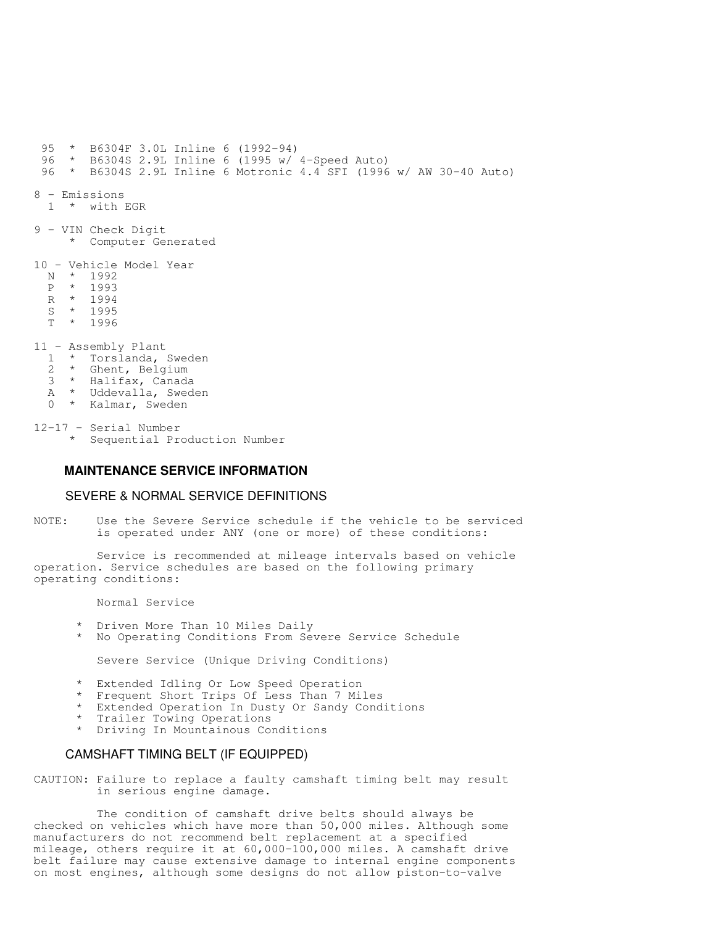95 \* B6304F 3.0L Inline 6 (1992-94) 96 \* B6304S 2.9L Inline 6 (1995 w/ 4-Speed Auto) 96 \* B6304S 2.9L Inline 6 Motronic 4.4 SFI (1996 w/ AW 30-40 Auto) 8 - Emissions 1 \* with EGR 9 - VIN Check Digit \* Computer Generated 10 - Vehicle Model Year N \* 1992 P \* 1993 R \* 1994<br>S \* 1995  $*$  1995  $\overline{T}$  \* 1996 11 - Assembly Plant  $\frac{1}{2}$  \* Torslanda, Sweden<br> $\frac{2}{2}$  \* Ghent Belgium 2 \* Ghent, Belgium 3 \* Halifax, Canada A \* Uddevalla, Sweden 0 \* Kalmar, Sweden

12-17 - Serial Number \* Sequential Production Number

## **MAINTENANCE SERVICE INFORMATION**

#### SEVERE & NORMAL SERVICE DEFINITIONS

NOTE: Use the Severe Service schedule if the vehicle to be serviced is operated under ANY (one or more) of these conditions:

 Service is recommended at mileage intervals based on vehicle operation. Service schedules are based on the following primary operating conditions:

Normal Service

- Driven More Than 10 Miles Daily
- \* No Operating Conditions From Severe Service Schedule

Severe Service (Unique Driving Conditions)

- \* Extended Idling Or Low Speed Operation
- Frequent Short Trips Of Less Than 7 Miles
- \* Extended Operation In Dusty Or Sandy Conditions
- \* Trailer Towing Operations
- \* Driving In Mountainous Conditions

#### CAMSHAFT TIMING BELT (IF EQUIPPED)

CAUTION: Failure to replace a faulty camshaft timing belt may result in serious engine damage.

 The condition of camshaft drive belts should always be checked on vehicles which have more than 50,000 miles. Although some manufacturers do not recommend belt replacement at a specified mileage, others require it at 60,000-100,000 miles. A camshaft drive belt failure may cause extensive damage to internal engine components on most engines, although some designs do not allow piston-to-valve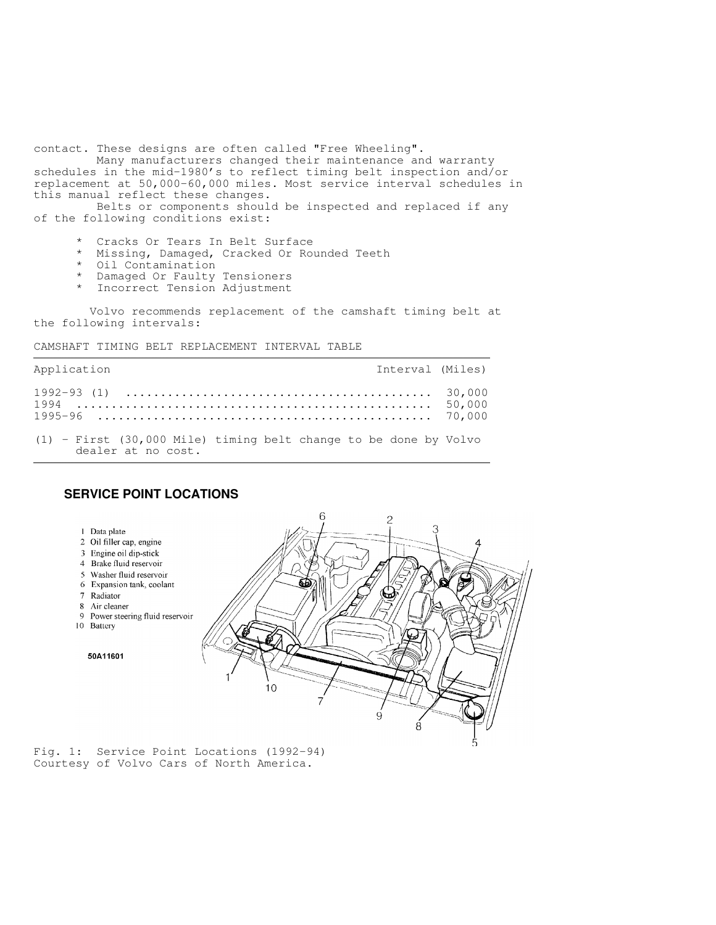contact. These designs are often called "Free Wheeling".

 Many manufacturers changed their maintenance and warranty schedules in the mid-1980's to reflect timing belt inspection and/or replacement at 50,000-60,000 miles. Most service interval schedules in this manual reflect these changes.

 Belts or components should be inspected and replaced if any of the following conditions exist:

- \* Cracks Or Tears In Belt Surface
- Missing, Damaged, Cracked Or Rounded Teeth
- Oil Contamination
- \* Damaged Or Faulty Tensioners
- \* Incorrect Tension Adjustment

 Volvo recommends replacement of the camshaft timing belt at the following intervals:

CAMSHAFT TIMING BELT REPLACEMENT INTERVAL TABLE

| Application                                                          | Interval (Miles) |  |
|----------------------------------------------------------------------|------------------|--|
|                                                                      |                  |  |
| $(1)$ - First $(30,000$ Mile) timing belt change to be done by Volvo |                  |  |

dealer at no cost.

## **SERVICE POINT LOCATIONS**



Fig. 1: Service Point Locations (1992-94) Courtesy of Volvo Cars of North America.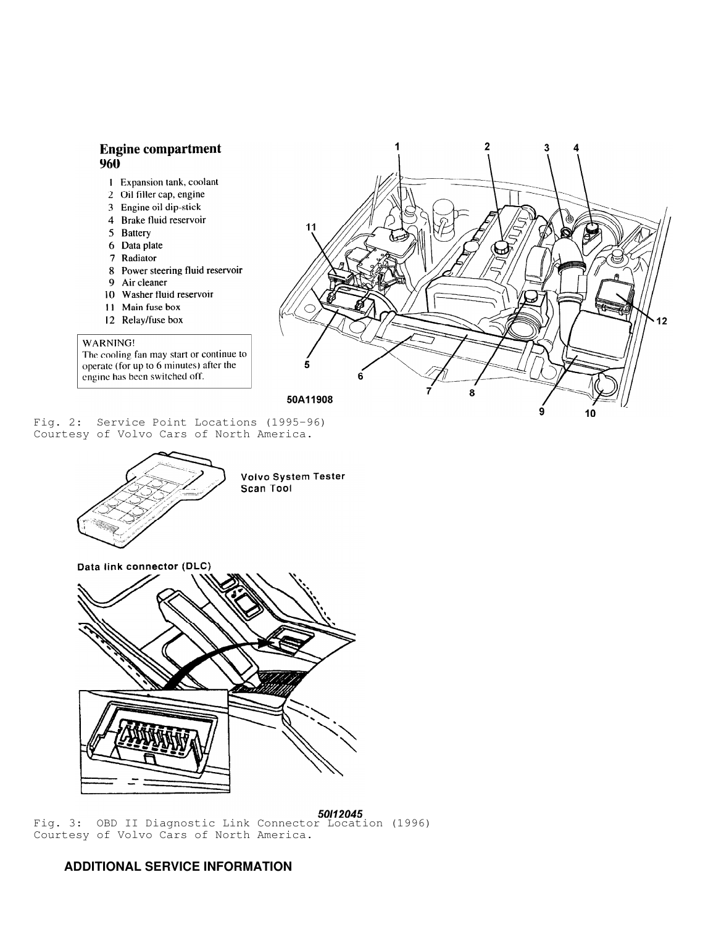# **Engine compartment**  $960$

- 1 Expansion tank, coolant
- 2 Oil filler cap, engine
- 3 Engine oil dip-stick
- 4 Brake fluid reservoir
- 5 Battery
- 6 Data plate
- 7 Radiator
- 8 Power steering fluid reservoir
- 9 Air cleaner
- 10 Washer fluid reservoir
- 11 Main fuse box
- 12 Relay/fuse box

#### WARNING!

The cooling fan may start or continue to operate (for up to 6 minutes) after the engine has been switched off.

 $11$ 12  $\mathbf{a}$ 50A11908

 $\overline{2}$ 

1

Fig. 2: Service Point Locations (1995-96) Courtesy of Volvo Cars of North America.





Fig. 3: OBD II Diagnostic Link Connector Location (1996) Courtesy of Volvo Cars of North America.

# **ADDITIONAL SERVICE INFORMATION**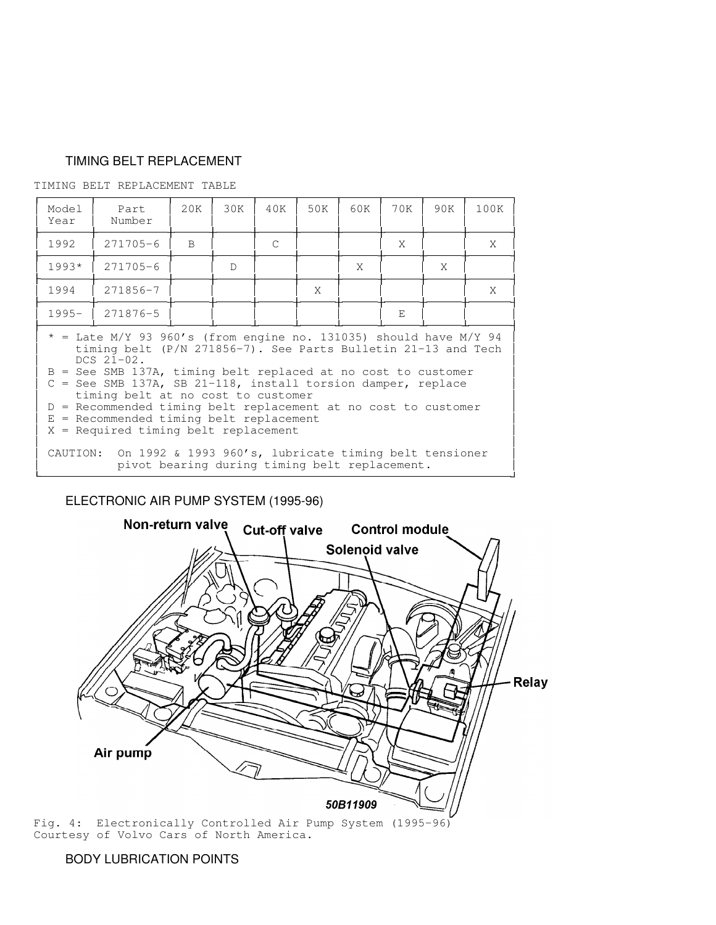# TIMING BELT REPLACEMENT

TIMING BELT REPLACEMENT TABLE

| Model<br>Year                                                                                                                                                                                                                                                                                                                                                                                                                                                                                  | Part<br>Number | 20K          | 30K | 40K | 50K | 60K | 70K | 90K | 100K |
|------------------------------------------------------------------------------------------------------------------------------------------------------------------------------------------------------------------------------------------------------------------------------------------------------------------------------------------------------------------------------------------------------------------------------------------------------------------------------------------------|----------------|--------------|-----|-----|-----|-----|-----|-----|------|
| 1992                                                                                                                                                                                                                                                                                                                                                                                                                                                                                           | $271705 - 6$   | <sub>B</sub> |     | C   |     |     | X   |     | X    |
| $1993*$                                                                                                                                                                                                                                                                                                                                                                                                                                                                                        | $271705 - 6$   |              | D   |     |     | X   |     | X   |      |
| 1994                                                                                                                                                                                                                                                                                                                                                                                                                                                                                           | 271856-7       |              |     |     | X   |     |     |     | X    |
| $1995 -$                                                                                                                                                                                                                                                                                                                                                                                                                                                                                       | 271876-5       |              |     |     |     |     | E   |     |      |
| $*$ = Late M/Y 93 960's (from engine no. 131035) should have M/Y 94<br>timing belt $(P/N 271856-7)$ . See Parts Bulletin 21-13 and Tech<br>$DCS$ $21-02$ .<br>$B =$ See SMB 137A, timing belt replaced at no cost to customer<br>$C =$ See SMB 137A, SB 21-118, install torsion damper, replace<br>timing belt at no cost to customer<br>D = Recommended timing belt replacement at no cost to customer<br>$E = Recommended timing belt replacement$<br>$X = Required timing belt replacement$ |                |              |     |     |     |     |     |     |      |
| On 1992 & 1993 960's, lubricate timing belt tensioner<br>CAUTION:<br>pivot bearing during timing belt replacement.                                                                                                                                                                                                                                                                                                                                                                             |                |              |     |     |     |     |     |     |      |

in the contract of the contract of the contract of the contract of the contract of the contract of the contract of

# ELECTRONIC AIR PUMP SYSTEM (1995-96)



Courtesy of Volvo Cars of North America.

# BODY LUBRICATION POINTS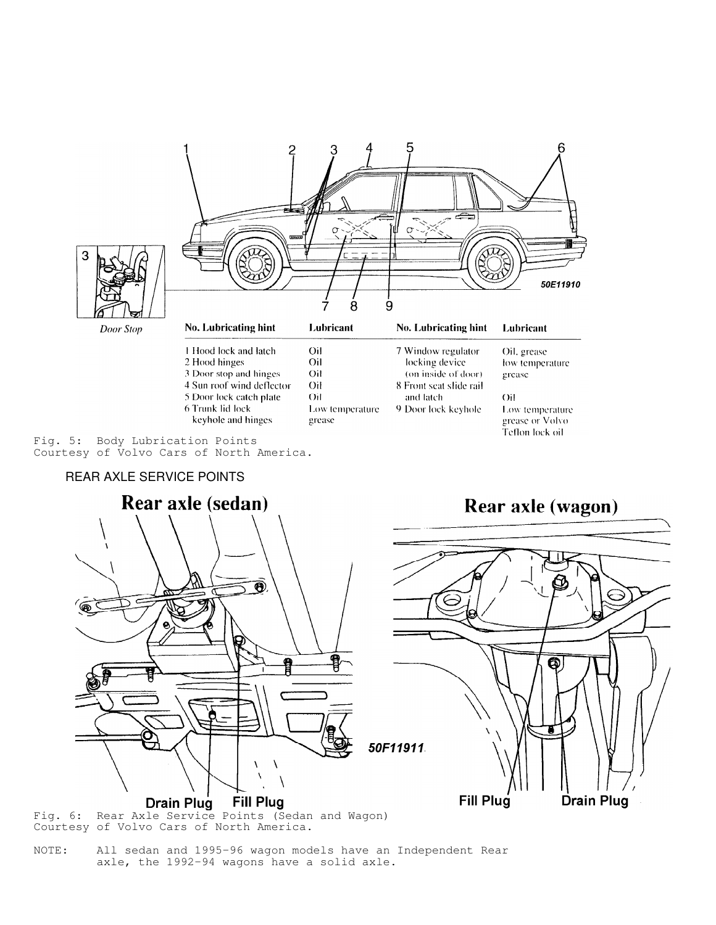



Courtesy of Volvo Cars of North America.

NOTE: All sedan and 1995-96 wagon models have an Independent Rear axle, the 1992-94 wagons have a solid axle.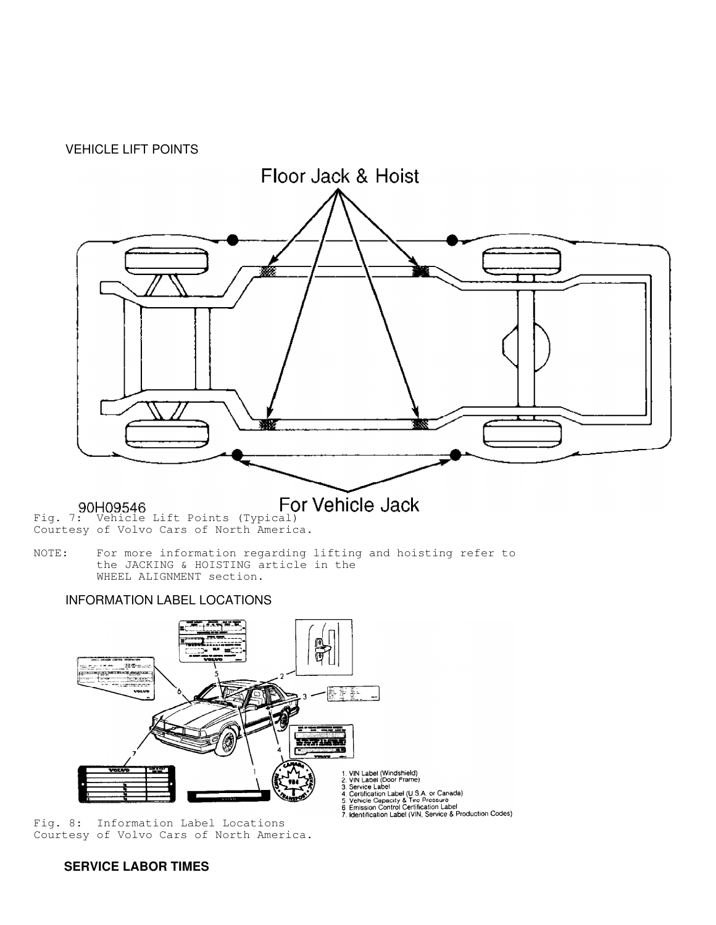



Courtesy of Volvo Cars of North America.

NOTE: For more information regarding lifting and hoisting refer to the JACKING & HOISTING article in the WHEEL ALIGNMENT section.

# INFORMATION LABEL LOCATIONS



Fig. 8: Information Label Locations Courtesy of Volvo Cars of North America.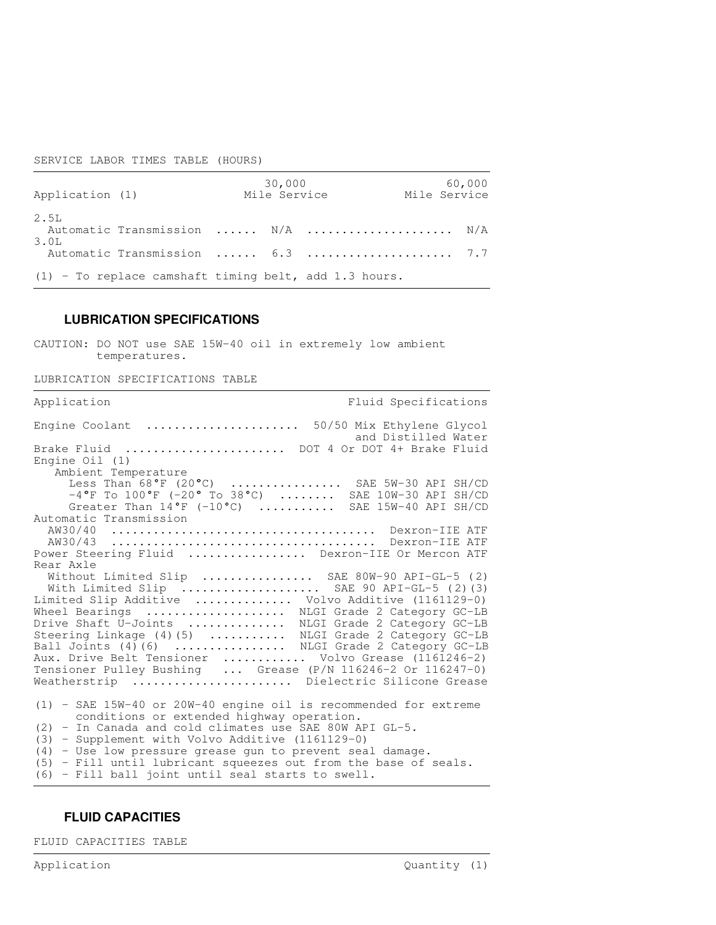### SERVICE LABOR TIMES TABLE (HOURS)

| Application (1) |                                                         | 30,000<br>Mile Service | 60,000<br>Mile Service |
|-----------------|---------------------------------------------------------|------------------------|------------------------|
| 2.5L<br>3.OL    | Automatic Transmission  N/A  N/A                        |                        |                        |
|                 | Automatic Transmission  6.3  7.7                        |                        |                        |
|                 | $(1)$ - To replace camshaft timing belt, add 1.3 hours. |                        |                        |

## **LUBRICATION SPECIFICATIONS**

CAUTION: DO NOT use SAE 15W-40 oil in extremely low ambient temperatures.

LUBRICATION SPECIFICATIONS TABLE

| Application<br>Fluid Specifications                                                                             |  |  |  |  |  |  |  |  |
|-----------------------------------------------------------------------------------------------------------------|--|--|--|--|--|--|--|--|
| Engine Coolant  50/50 Mix Ethylene Glycol<br>and Distilled Water                                                |  |  |  |  |  |  |  |  |
| Brake Fluid  DOT 4 Or DOT 4+ Brake Fluid                                                                        |  |  |  |  |  |  |  |  |
| Engine $Oil(1)$                                                                                                 |  |  |  |  |  |  |  |  |
| Ambient Temperature                                                                                             |  |  |  |  |  |  |  |  |
| Less Than 68°F (20°C)  SAE 5W-30 API SH/CD                                                                      |  |  |  |  |  |  |  |  |
| $-4^{\circ}$ F To $100^{\circ}$ F (-20° To 38°C)  SAE 10W-30 API SH/CD                                          |  |  |  |  |  |  |  |  |
| Greater Than $14^{\circ}$ F (-10°C)  SAE 15W-40 API SH/CD                                                       |  |  |  |  |  |  |  |  |
| Automatic Transmission                                                                                          |  |  |  |  |  |  |  |  |
|                                                                                                                 |  |  |  |  |  |  |  |  |
| Power Steering Fluid  Dexron-IIE Or Mercon ATF                                                                  |  |  |  |  |  |  |  |  |
| Rear Axle                                                                                                       |  |  |  |  |  |  |  |  |
| Without Limited Slip  SAE 80W-90 API-GL-5 (2)                                                                   |  |  |  |  |  |  |  |  |
| With Limited Slip  SAE 90 API-GL-5 (2) (3)                                                                      |  |  |  |  |  |  |  |  |
| Limited Slip Additive  Volvo Additive (1161129-0)                                                               |  |  |  |  |  |  |  |  |
| Wheel Bearings  NLGI Grade 2 Category GC-LB                                                                     |  |  |  |  |  |  |  |  |
| Drive Shaft U-Joints  NLGI Grade 2 Category GC-LB                                                               |  |  |  |  |  |  |  |  |
| Steering Linkage (4)(5)  NLGI Grade 2 Category GC-LB                                                            |  |  |  |  |  |  |  |  |
| Ball Joints (4) (6)  NLGI Grade 2 Category GC-LB                                                                |  |  |  |  |  |  |  |  |
| Aux. Drive Belt Tensioner  Volvo Grease (1161246-2)                                                             |  |  |  |  |  |  |  |  |
| Tensioner Pulley Bushing  Grease (P/N 116246-2 Or 116247-0)                                                     |  |  |  |  |  |  |  |  |
| Weatherstrip  Dielectric Silicone Grease                                                                        |  |  |  |  |  |  |  |  |
| $(1)$ - SAE 15W-40 or 20W-40 engine oil is recommended for extreme<br>conditions or extended highway operation. |  |  |  |  |  |  |  |  |
| (2) - In Canada and cold climates use SAE 80W API GL-5.                                                         |  |  |  |  |  |  |  |  |
| (3) - Supplement with Volvo Additive (1161129-0)                                                                |  |  |  |  |  |  |  |  |
| $(4)$ - Use low pressure grease qun to prevent seal damage.                                                     |  |  |  |  |  |  |  |  |
| $(5)$ - Fill until lubricant squeezes out from the base of seals.                                               |  |  |  |  |  |  |  |  |
| (6) - Fill ball joint until seal starts to swell.                                                               |  |  |  |  |  |  |  |  |

# **FLUID CAPACITIES**

FLUID CAPACITIES TABLE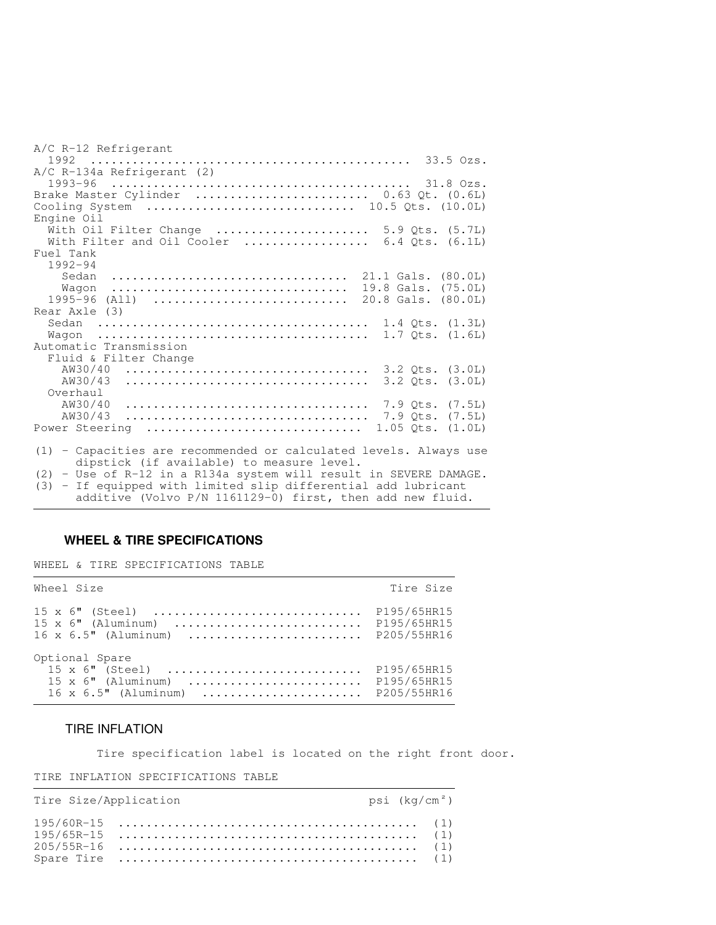| A/C R-12 Refrigerant                                              |
|-------------------------------------------------------------------|
|                                                                   |
| A/C R-134a Refrigerant (2)<br>1993-96                             |
| Brake Master Cylinder  0.63 Qt. (0.6L)                            |
| Cooling System  10.5 Qts. (10.0L)                                 |
| Engine Oil                                                        |
| With Oil Filter Change  5.9 Qts. (5.7L)                           |
| With Filter and Oil Cooler  6.4 Qts. $(6.1L)$                     |
| Fuel Tank                                                         |
| $1992 - 94$                                                       |
| 21.1 Gals. (80.0L)<br>Sedan                                       |
| 19.8 Gals. (75.0L)<br>Waqon                                       |
| 1995-96<br>20.8 Gals. (80.0L)<br>$(A11)$                          |
| Rear Axle (3)                                                     |
|                                                                   |
|                                                                   |
| Automatic Transmission                                            |
| Fluid & Filter Change                                             |
| AW30/40<br>$3.2$ Qts. $(3.0L)$                                    |
| AW30/43<br>$3.2$ Qts. $(3.0L)$                                    |
| Overhaul                                                          |
| AW30/40<br>7.9 Ots. (7.5L)                                        |
| AW30/43<br>$7.9$ Qts. $(7.5L)$                                    |
| Power Steering<br>$1.05$ Qts. $(1.0L)$                            |
| (1) - Capacities are recommended or calculated levels. Always use |
| dipstick (if available) to measure level.                         |
| (2) - Use of R-12 in a R134a system will result in SEVERE DAMAGE. |

(3) - If equipped with limited slip differential add lubricant additive (Volvo P/N 1161129-0) first, then add new fluid.

,我们就会不会不会。""我们,我们不会不会不会,我们不会不会不会,我们不会不会不会不会。""我们,我们不会不会不会不会。""我们,我们不会不会不会不会。""我们

# **WHEEL & TIRE SPECIFICATIONS**

WHEEL & TIRE SPECIFICATIONS TABLE

| Wheel Size                                                                                              | Tire Size                                 |  |  |
|---------------------------------------------------------------------------------------------------------|-------------------------------------------|--|--|
| $15 \times 6$ " (Steel)<br>$15 \times 6$ " (Aluminum)<br>$16 \times 6.5$ " (Aluminum)                   | P195/65HR15<br>P195/65HR15<br>P205/55HR16 |  |  |
| Optional Spare<br>$15 \times 6$ " (Steel)<br>$15 \times 6$ " (Aluminum)<br>$16 \times 6.5$ " (Aluminum) | P195/65HR15<br>P195/65HR15<br>P205/55HR16 |  |  |

### TIRE INFLATION

Tire specification label is located on the right front door.

#### TIRE INFLATION SPECIFICATIONS TABLE

| Tire Size/Application | psi (kg/cm²)                                                                            |  |  |  |  |
|-----------------------|-----------------------------------------------------------------------------------------|--|--|--|--|
|                       | Spare Tire $\dots\dots\dots\dots\dots\dots\dots\dots\dots\dots\dots\dots\dots\dots$ (1) |  |  |  |  |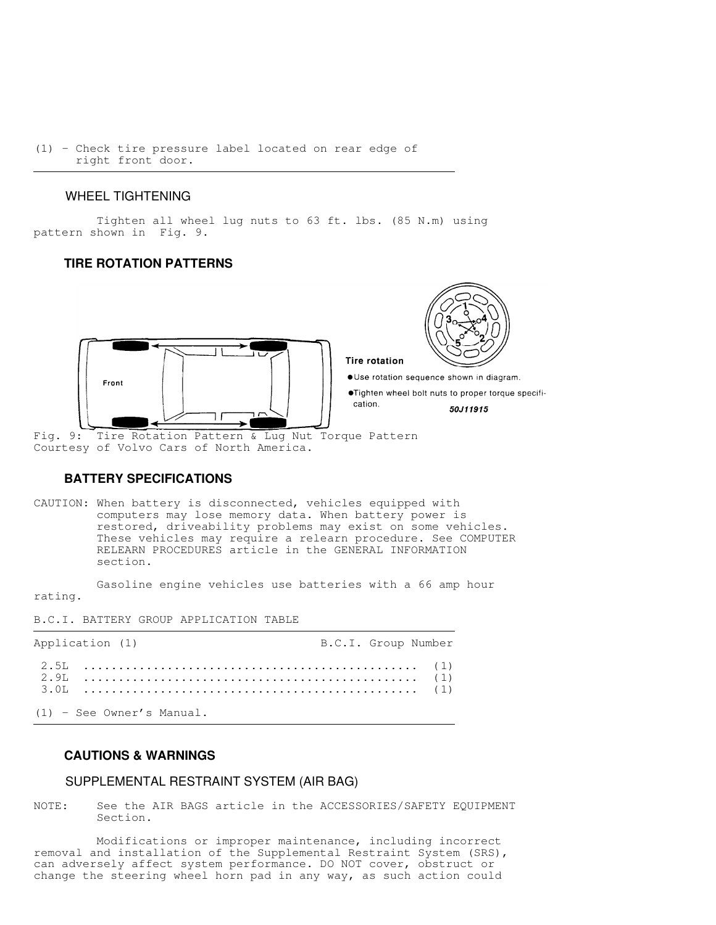(1) - Check tire pressure label located on rear edge of right front door.

## WHEEL TIGHTENING

 Tighten all wheel lug nuts to 63 ft. lbs. (85 N.m) using pattern shown in Fig. 9.

## **TIRE ROTATION PATTERNS**



Fig. 9: Tire Rotation Pattern & Lug Nut Torque Pattern Courtesy of Volvo Cars of North America.

## **BATTERY SPECIFICATIONS**

CAUTION: When battery is disconnected, vehicles equipped with computers may lose memory data. When battery power is restored, driveability problems may exist on some vehicles. These vehicles may require a relearn procedure. See COMPUTER RELEARN PROCEDURES article in the GENERAL INFORMATION section.

 Gasoline engine vehicles use batteries with a 66 amp hour rating.

B.C.I. BATTERY GROUP APPLICATION TABLE

| Application (1)           | B.C.I. Group Number |
|---------------------------|---------------------|
|                           |                     |
| (1) - See Owner's Manual. |                     |

#### **CAUTIONS & WARNINGS**

#### SUPPLEMENTAL RESTRAINT SYSTEM (AIR BAG)

NOTE: See the AIR BAGS article in the ACCESSORIES/SAFETY EQUIPMENT Section.

 Modifications or improper maintenance, including incorrect removal and installation of the Supplemental Restraint System (SRS), can adversely affect system performance. DO NOT cover, obstruct or change the steering wheel horn pad in any way, as such action could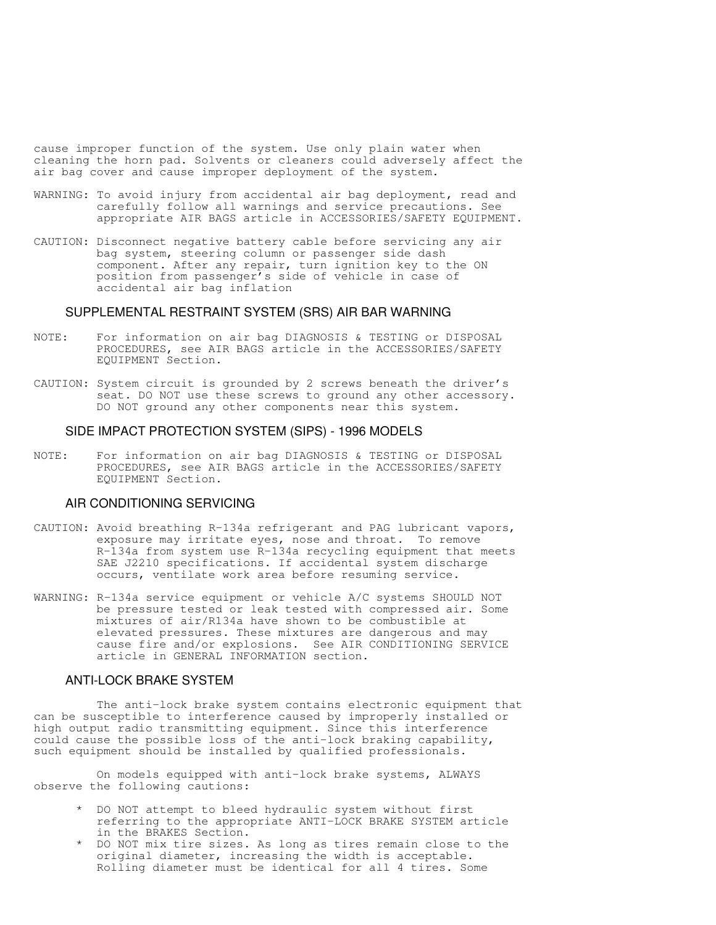cause improper function of the system. Use only plain water when cleaning the horn pad. Solvents or cleaners could adversely affect the air bag cover and cause improper deployment of the system.

- WARNING: To avoid injury from accidental air bag deployment, read and carefully follow all warnings and service precautions. See appropriate AIR BAGS article in ACCESSORIES/SAFETY EQUIPMENT.
- CAUTION: Disconnect negative battery cable before servicing any air bag system, steering column or passenger side dash component. After any repair, turn ignition key to the ON position from passenger's side of vehicle in case of accidental air bag inflation

#### SUPPLEMENTAL RESTRAINT SYSTEM (SRS) AIR BAR WARNING

- NOTE: For information on air bag DIAGNOSIS & TESTING or DISPOSAL PROCEDURES, see AIR BAGS article in the ACCESSORIES/SAFETY EQUIPMENT Section.
- CAUTION: System circuit is grounded by 2 screws beneath the driver's seat. DO NOT use these screws to ground any other accessory. DO NOT ground any other components near this system.

#### SIDE IMPACT PROTECTION SYSTEM (SIPS) - 1996 MODELS

NOTE: For information on air bag DIAGNOSIS & TESTING or DISPOSAL PROCEDURES, see AIR BAGS article in the ACCESSORIES/SAFETY EQUIPMENT Section.

## AIR CONDITIONING SERVICING

- CAUTION: Avoid breathing R-134a refrigerant and PAG lubricant vapors, exposure may irritate eyes, nose and throat. To remove R-134a from system use R-134a recycling equipment that meets SAE J2210 specifications. If accidental system discharge occurs, ventilate work area before resuming service.
- WARNING: R-134a service equipment or vehicle A/C systems SHOULD NOT be pressure tested or leak tested with compressed air. Some mixtures of air/R134a have shown to be combustible at elevated pressures. These mixtures are dangerous and may cause fire and/or explosions. See AIR CONDITIONING SERVICE article in GENERAL INFORMATION section.

#### ANTI-LOCK BRAKE SYSTEM

 The anti-lock brake system contains electronic equipment that can be susceptible to interference caused by improperly installed or high output radio transmitting equipment. Since this interference could cause the possible loss of the anti-lock braking capability, such equipment should be installed by qualified professionals.

 On models equipped with anti-lock brake systems, ALWAYS observe the following cautions:

- \* DO NOT attempt to bleed hydraulic system without first referring to the appropriate ANTI-LOCK BRAKE SYSTEM article in the BRAKES Section.
- \* DO NOT mix tire sizes. As long as tires remain close to the original diameter, increasing the width is acceptable. Rolling diameter must be identical for all 4 tires. Some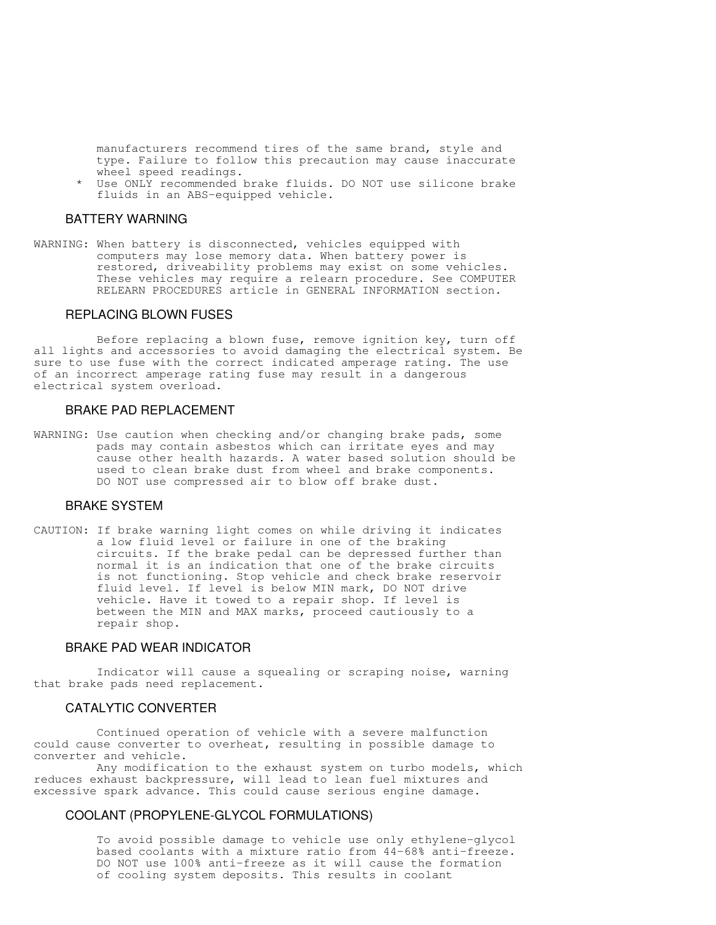manufacturers recommend tires of the same brand, style and type. Failure to follow this precaution may cause inaccurate wheel speed readings.

Use ONLY recommended brake fluids. DO NOT use silicone brake fluids in an ABS-equipped vehicle.

## BATTERY WARNING

WARNING: When battery is disconnected, vehicles equipped with computers may lose memory data. When battery power is restored, driveability problems may exist on some vehicles. These vehicles may require a relearn procedure. See COMPUTER RELEARN PROCEDURES article in GENERAL INFORMATION section.

## REPLACING BLOWN FUSES

 Before replacing a blown fuse, remove ignition key, turn off all lights and accessories to avoid damaging the electrical system. Be sure to use fuse with the correct indicated amperage rating. The use of an incorrect amperage rating fuse may result in a dangerous electrical system overload.

#### BRAKE PAD REPLACEMENT

WARNING: Use caution when checking and/or changing brake pads, some pads may contain asbestos which can irritate eyes and may cause other health hazards. A water based solution should be used to clean brake dust from wheel and brake components. DO NOT use compressed air to blow off brake dust.

#### BRAKE SYSTEM

CAUTION: If brake warning light comes on while driving it indicates a low fluid level or failure in one of the braking circuits. If the brake pedal can be depressed further than normal it is an indication that one of the brake circuits is not functioning. Stop vehicle and check brake reservoir fluid level. If level is below MIN mark, DO NOT drive vehicle. Have it towed to a repair shop. If level is between the MIN and MAX marks, proceed cautiously to a repair shop.

#### BRAKE PAD WEAR INDICATOR

 Indicator will cause a squealing or scraping noise, warning that brake pads need replacement.

#### CATALYTIC CONVERTER

 Continued operation of vehicle with a severe malfunction could cause converter to overheat, resulting in possible damage to converter and vehicle.

 Any modification to the exhaust system on turbo models, which reduces exhaust backpressure, will lead to lean fuel mixtures and excessive spark advance. This could cause serious engine damage.

## COOLANT (PROPYLENE-GLYCOL FORMULATIONS)

 To avoid possible damage to vehicle use only ethylene-glycol based coolants with a mixture ratio from 44-68% anti-freeze. DO NOT use 100% anti-freeze as it will cause the formation of cooling system deposits. This results in coolant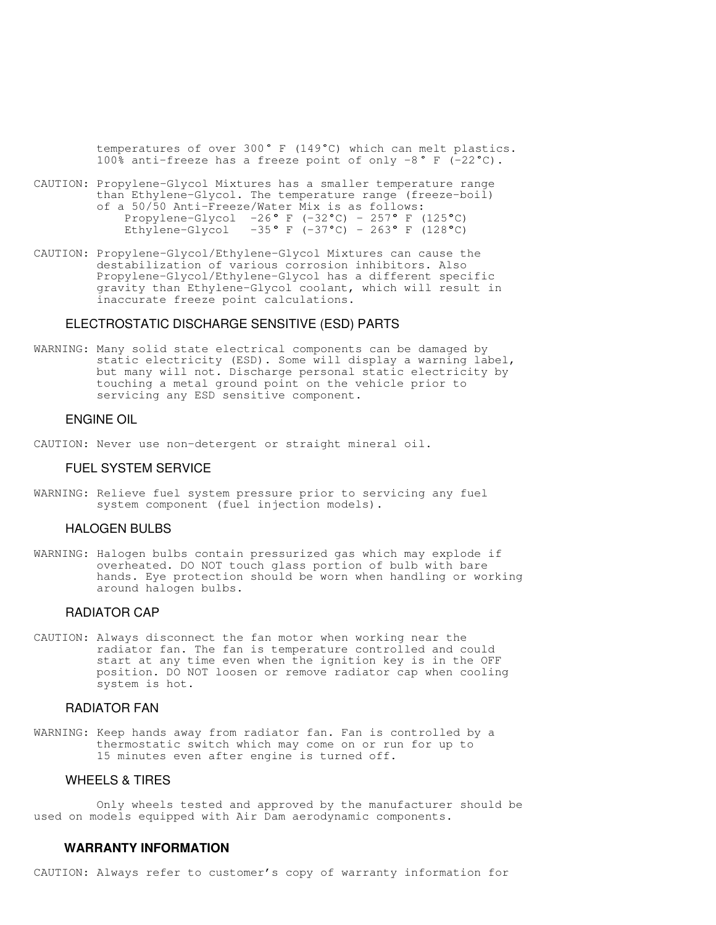temperatures of over 300° F (149°C) which can melt plastics. 100% anti-freeze has a freeze point of only  $-8$ ° F (-22°C).

- CAUTION: Propylene-Glycol Mixtures has a smaller temperature range than Ethylene-Glycol. The temperature range (freeze-boil) of a 50/50 Anti-Freeze/Water Mix is as follows: Propylene-Glycol  $-26°$  F (-32°C) - 257° F (125°C) Ethylene-Glycol -35° F (-37°C) – 263° F (128°C)
- CAUTION: Propylene-Glycol/Ethylene-Glycol Mixtures can cause the destabilization of various corrosion inhibitors. Also Propylene-Glycol/Ethylene-Glycol has a different specific gravity than Ethylene-Glycol coolant, which will result in inaccurate freeze point calculations.

#### ELECTROSTATIC DISCHARGE SENSITIVE (ESD) PARTS

WARNING: Many solid state electrical components can be damaged by static electricity (ESD). Some will display a warning label, but many will not. Discharge personal static electricity by touching a metal ground point on the vehicle prior to servicing any ESD sensitive component.

#### ENGINE OIL

CAUTION: Never use non-detergent or straight mineral oil.

#### FUEL SYSTEM SERVICE

WARNING: Relieve fuel system pressure prior to servicing any fuel system component (fuel injection models).

## HALOGEN BULBS

WARNING: Halogen bulbs contain pressurized gas which may explode if overheated. DO NOT touch glass portion of bulb with bare hands. Eye protection should be worn when handling or working around halogen bulbs.

### RADIATOR CAP

CAUTION: Always disconnect the fan motor when working near the radiator fan. The fan is temperature controlled and could start at any time even when the ignition key is in the OFF position. DO NOT loosen or remove radiator cap when cooling system is hot.

## RADIATOR FAN

WARNING: Keep hands away from radiator fan. Fan is controlled by a thermostatic switch which may come on or run for up to 15 minutes even after engine is turned off.

#### WHEELS & TIRES

 Only wheels tested and approved by the manufacturer should be used on models equipped with Air Dam aerodynamic components.

#### **WARRANTY INFORMATION**

CAUTION: Always refer to customer's copy of warranty information for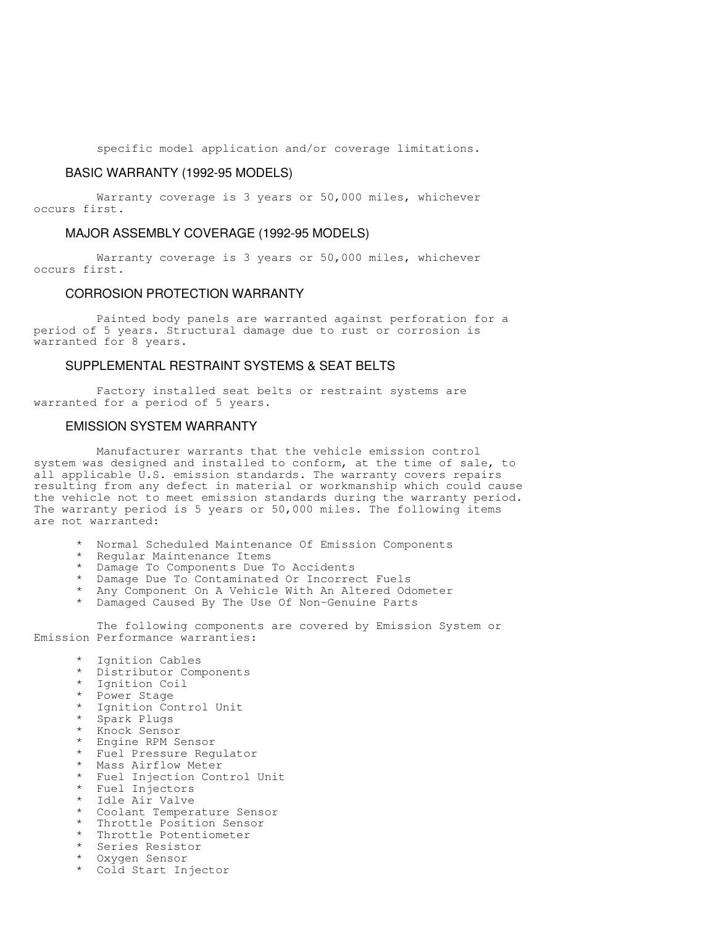specific model application and/or coverage limitations.

#### BASIC WARRANTY (1992-95 MODELS)

 Warranty coverage is 3 years or 50,000 miles, whichever occurs first.

## MAJOR ASSEMBLY COVERAGE (1992-95 MODELS)

 Warranty coverage is 3 years or 50,000 miles, whichever occurs first.

#### CORROSION PROTECTION WARRANTY

 Painted body panels are warranted against perforation for a period of 5 years. Structural damage due to rust or corrosion is warranted for 8 years.

## SUPPLEMENTAL RESTRAINT SYSTEMS & SEAT BELTS

 Factory installed seat belts or restraint systems are warranted for a period of 5 years.

## EMISSION SYSTEM WARRANTY

 Manufacturer warrants that the vehicle emission control system was designed and installed to conform, at the time of sale, to all applicable U.S. emission standards. The warranty covers repairs resulting from any defect in material or workmanship which could cause the vehicle not to meet emission standards during the warranty period. The warranty period is 5 years or 50,000 miles. The following items are not warranted:

- Normal Scheduled Maintenance Of Emission Components
- Regular Maintenance Items
- Damage To Components Due To Accidents
- Damage Due To Contaminated Or Incorrect Fuels
- Any Component On A Vehicle With An Altered Odometer
- Damaged Caused By The Use Of Non-Genuine Parts

 The following components are covered by Emission System or Emission Performance warranties:

- Ignition Cables
- \* Distributor Components
- Ignition Coil
- Power Stage
- Ignition Control Unit
- Spark Plugs
- Knock Sensor
- Engine RPM Sensor
- Fuel Pressure Regulator
- Mass Airflow Meter
- Fuel Injection Control Unit
- Fuel Injectors
- Idle Air Valve
- Coolant Temperature Sensor
- Throttle Position Sensor
- Throttle Potentiometer
- Series Resistor
- Oxygen Sensor
- Cold Start Injector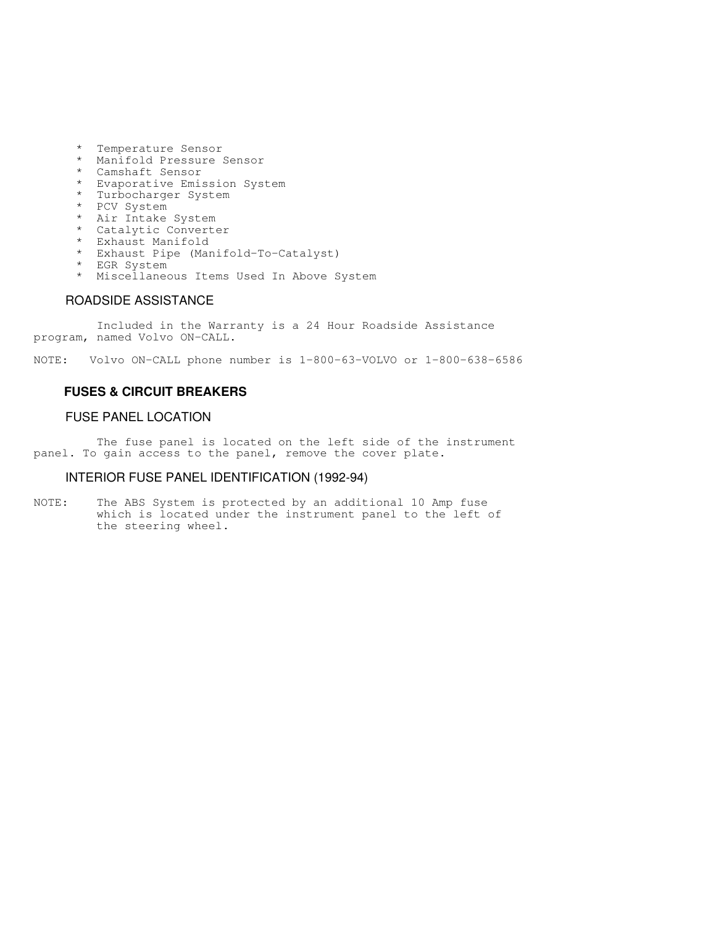- \* Temperature Sensor
- \* Manifold Pressure Sensor
- \* Camshaft Sensor
	- \* Evaporative Emission System
	- \* Turbocharger System
	- \* PCV System
	- \* Air Intake System<br>\* Catalytic Converte
	- Catalytic Converter
	- \* Exhaust Manifold
	- Exhaust Pipe (Manifold-To-Catalyst)
	- \* EGR System
	- \* Miscellaneous Items Used In Above System

### ROADSIDE ASSISTANCE

 Included in the Warranty is a 24 Hour Roadside Assistance program, named Volvo ON-CALL.

NOTE: Volvo ON-CALL phone number is 1-800-63-VOLVO or 1-800-638-6586

## **FUSES & CIRCUIT BREAKERS**

## FUSE PANEL LOCATION

 The fuse panel is located on the left side of the instrument panel. To gain access to the panel, remove the cover plate.

## INTERIOR FUSE PANEL IDENTIFICATION (1992-94)

NOTE: The ABS System is protected by an additional 10 Amp fuse which is located under the instrument panel to the left of the steering wheel.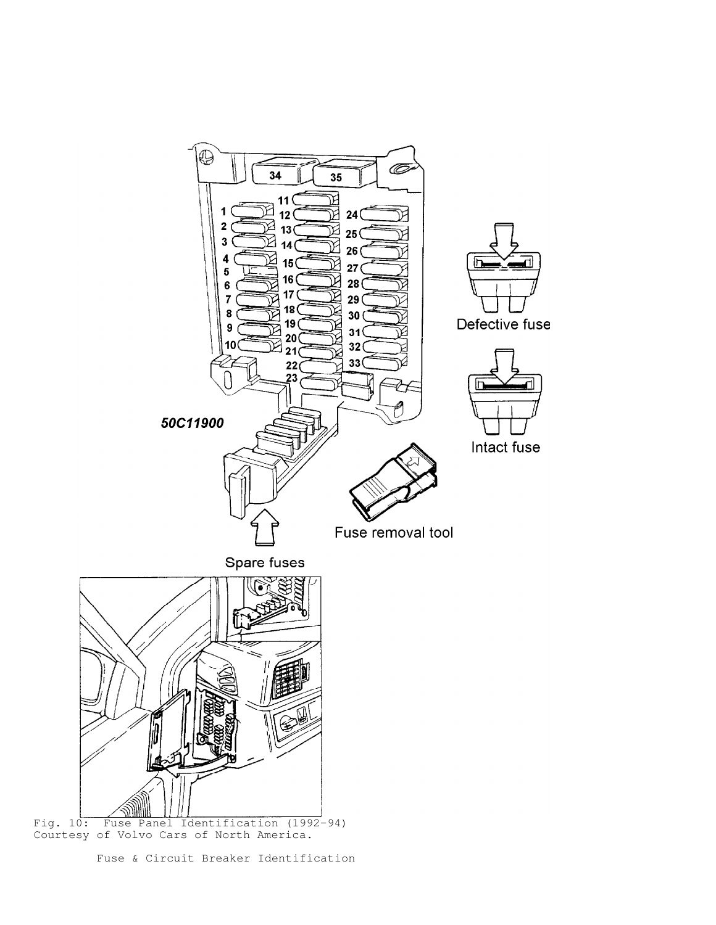

Courtesy of Volvo Cars of North America.

Fuse & Circuit Breaker Identification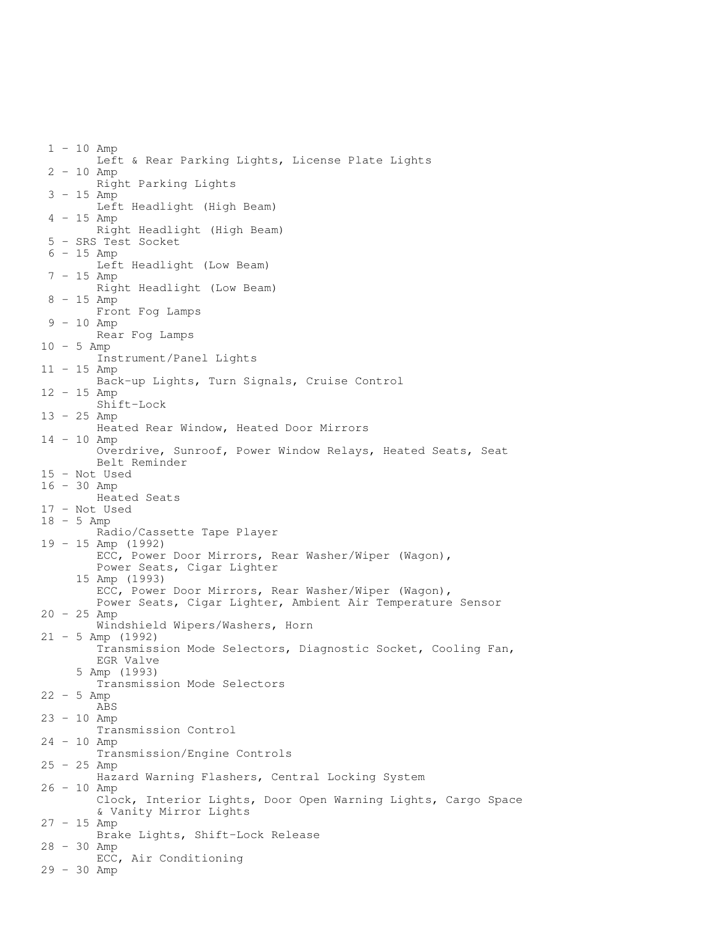1 - 10 Amp Left & Rear Parking Lights, License Plate Lights 2 - 10 Amp Right Parking Lights 3 - 15 Amp Left Headlight (High Beam) 4 - 15 Amp Right Headlight (High Beam) 5 - SRS Test Socket  $6 - 15$  Amp Left Headlight (Low Beam) 7 - 15 Amp Right Headlight (Low Beam) 8 - 15 Amp Front Fog Lamps 9 - 10 Amp Rear Fog Lamps 10 - 5 Amp Instrument/Panel Lights 11 - 15 Amp Back-up Lights, Turn Signals, Cruise Control 12 - 15 Amp Shift-Lock 13 - 25 Amp Heated Rear Window, Heated Door Mirrors 14 - 10 Amp Overdrive, Sunroof, Power Window Relays, Heated Seats, Seat Belt Reminder 15 - Not Used 16 - 30 Amp Heated Seats 17 - Not Used 18 - 5 Amp Radio/Cassette Tape Player 19 - 15 Amp (1992) ECC, Power Door Mirrors, Rear Washer/Wiper (Wagon), Power Seats, Cigar Lighter 15 Amp (1993) ECC, Power Door Mirrors, Rear Washer/Wiper (Wagon), Power Seats, Cigar Lighter, Ambient Air Temperature Sensor 20 - 25 Amp Windshield Wipers/Washers, Horn 21 - 5 Amp (1992) Transmission Mode Selectors, Diagnostic Socket, Cooling Fan, EGR Valve 5 Amp (1993) Transmission Mode Selectors  $22 - 5$  Amp ABS 23 - 10 Amp Transmission Control 24 - 10 Amp Transmission/Engine Controls 25 - 25 Amp Hazard Warning Flashers, Central Locking System 26 - 10 Amp Clock, Interior Lights, Door Open Warning Lights, Cargo Space & Vanity Mirror Lights 27 - 15 Amp Brake Lights, Shift-Lock Release 28 - 30 Amp ECC, Air Conditioning 29 - 30 Amp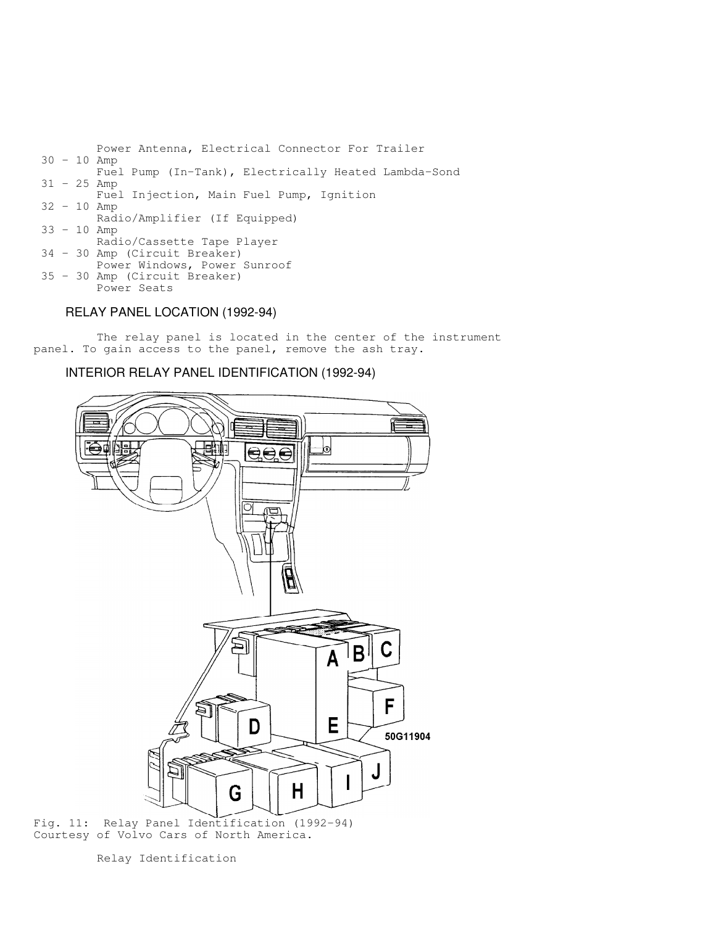Power Antenna, Electrical Connector For Trailer 30 - 10 Amp Fuel Pump (In-Tank), Electrically Heated Lambda-Sond 31 - 25 Amp Fuel Injection, Main Fuel Pump, Ignition 32 - 10 Amp Radio/Amplifier (If Equipped) 33 - 10 Amp Radio/Cassette Tape Player 34 - 30 Amp (Circuit Breaker) Power Windows, Power Sunroof 35 - 30 Amp (Circuit Breaker) Power Seats

# RELAY PANEL LOCATION (1992-94)

 The relay panel is located in the center of the instrument panel. To gain access to the panel, remove the ash tray.

## INTERIOR RELAY PANEL IDENTIFICATION (1992-94)



Fig. 11: Relay Panel Identification (1992-94) Courtesy of Volvo Cars of North America.

Relay Identification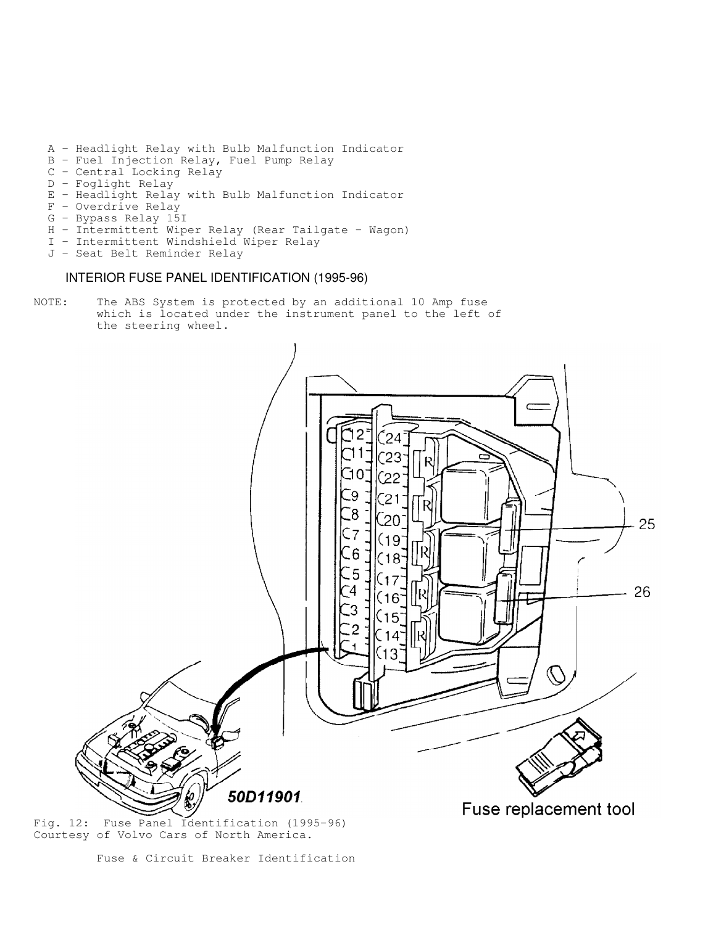- A Headlight Relay with Bulb Malfunction Indicator
- B Fuel Injection Relay, Fuel Pump Relay
- C Central Locking Relay
	- D Foglight Relay
	- E Headlight Relay with Bulb Malfunction Indicator
	- F Overdrive Relay
	- G Bypass Relay 15I
	- H Intermittent Wiper Relay (Rear Tailgate Wagon)
	- I Intermittent Windshield Wiper Relay
	- J Seat Belt Reminder Relay

## INTERIOR FUSE PANEL IDENTIFICATION (1995-96)

NOTE: The ABS System is protected by an additional 10 Amp fuse which is located under the instrument panel to the left of the steering wheel.



Fig. 12: Fuse Panel Identification (1995-96) Courtesy of Volvo Cars of North America.

Fuse & Circuit Breaker Identification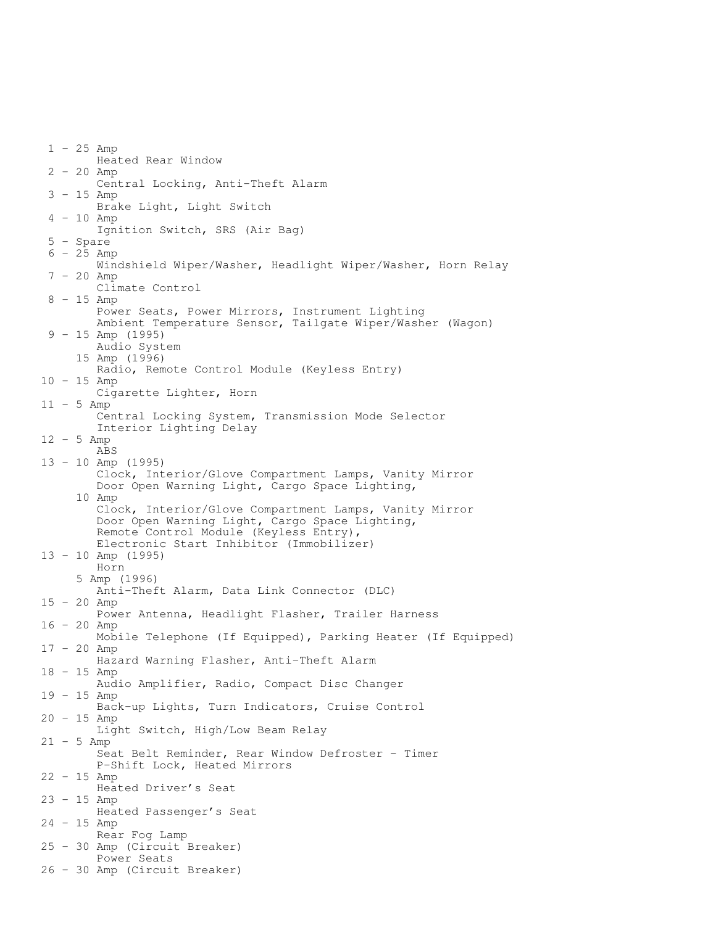1 - 25 Amp Heated Rear Window 2 - 20 Amp Central Locking, Anti-Theft Alarm 3 - 15 Amp Brake Light, Light Switch 4 - 10 Amp Ignition Switch, SRS (Air Bag) 5 - Spare  $6 - 25$  Amp Windshield Wiper/Washer, Headlight Wiper/Washer, Horn Relay 7 - 20 Amp Climate Control  $8 - 15$  Amp Power Seats, Power Mirrors, Instrument Lighting Ambient Temperature Sensor, Tailgate Wiper/Washer (Wagon) 9 - 15 Amp (1995) Audio System 15 Amp (1996) Radio, Remote Control Module (Keyless Entry) 10 - 15 Amp Cigarette Lighter, Horn 11 - 5 Amp Central Locking System, Transmission Mode Selector Interior Lighting Delay  $12 - 5$  Amp ABS 13 - 10 Amp (1995) Clock, Interior/Glove Compartment Lamps, Vanity Mirror Door Open Warning Light, Cargo Space Lighting, 10 Amp Clock, Interior/Glove Compartment Lamps, Vanity Mirror Door Open Warning Light, Cargo Space Lighting, Remote Control Module (Keyless Entry), Electronic Start Inhibitor (Immobilizer) 13 - 10 Amp (1995) Horn 5 Amp (1996) Anti-Theft Alarm, Data Link Connector (DLC) 15 - 20 Amp Power Antenna, Headlight Flasher, Trailer Harness 16 - 20 Amp Mobile Telephone (If Equipped), Parking Heater (If Equipped) 17 - 20 Amp Hazard Warning Flasher, Anti-Theft Alarm 18 - 15 Amp Audio Amplifier, Radio, Compact Disc Changer 19 - 15 Amp Back-up Lights, Turn Indicators, Cruise Control 20 - 15 Amp Light Switch, High/Low Beam Relay  $21 - 5$  Amp Seat Belt Reminder, Rear Window Defroster - Timer P-Shift Lock, Heated Mirrors 22 - 15 Amp Heated Driver's Seat 23 - 15 Amp Heated Passenger's Seat 24 - 15 Amp Rear Fog Lamp 25 - 30 Amp (Circuit Breaker) Power Seats 26 - 30 Amp (Circuit Breaker)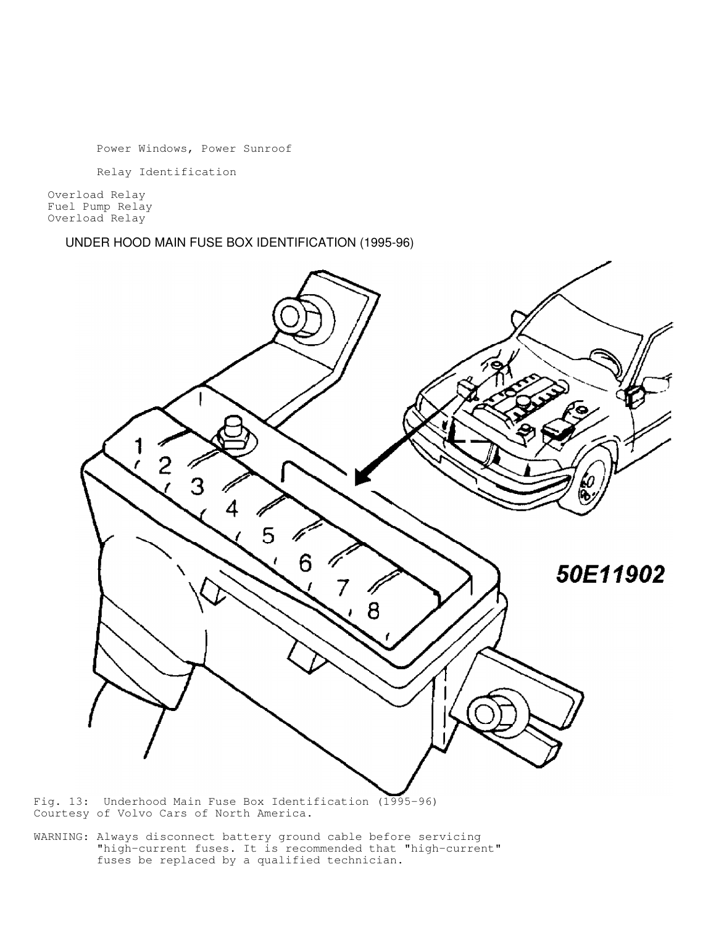Power Windows, Power Sunroof

Relay Identification

 Overload Relay Fuel Pump Relay Overload Relay

UNDER HOOD MAIN FUSE BOX IDENTIFICATION (1995-96)



Fig. 13: Underhood Main Fuse Box Identification (1995-96) Courtesy of Volvo Cars of North America.

WARNING: Always disconnect battery ground cable before servicing "high-current fuses. It is recommended that "high-current" fuses be replaced by a qualified technician.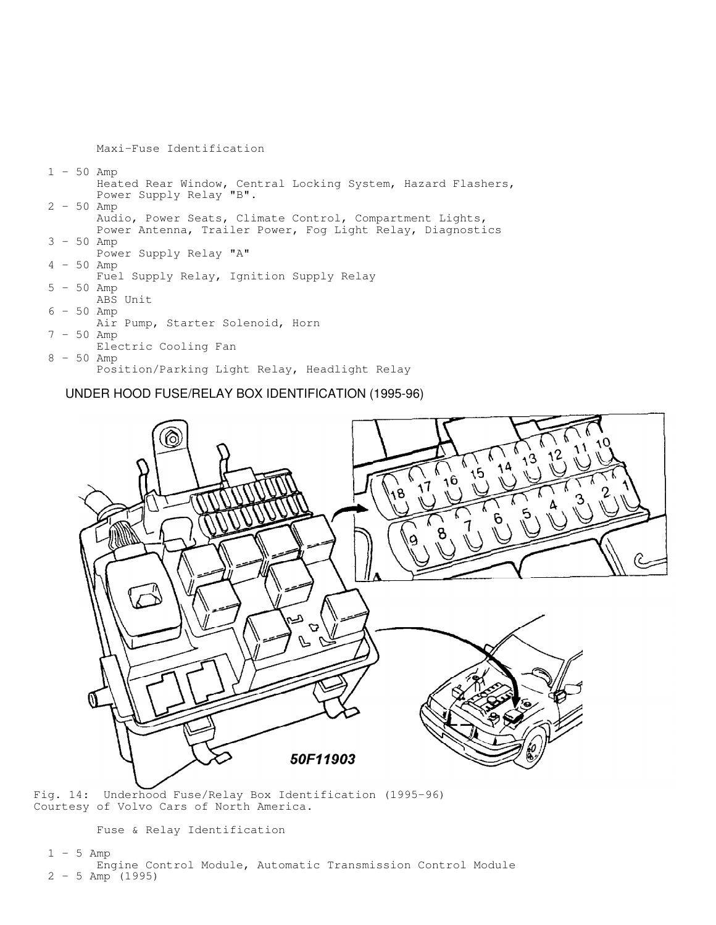Maxi-Fuse Identification 1 - 50 Amp Heated Rear Window, Central Locking System, Hazard Flashers, Power Supply Relay "B". 2 - 50 Amp Audio, Power Seats, Climate Control, Compartment Lights, Power Antenna, Trailer Power, Fog Light Relay, Diagnostics 3 - 50 Amp Power Supply Relay "A" 4 - 50 Amp Fuel Supply Relay, Ignition Supply Relay 5 - 50 Amp ABS Unit  $6 - 50$  Amp Air Pump, Starter Solenoid, Horn 7 - 50 Amp Electric Cooling Fan 8 - 50 Amp Position/Parking Light Relay, Headlight Relay

UNDER HOOD FUSE/RELAY BOX IDENTIFICATION (1995-96)



Fig. 14: Underhood Fuse/Relay Box Identification (1995-96) Courtesy of Volvo Cars of North America.

Fuse & Relay Identification

#### $1 - 5$  Amp

 Engine Control Module, Automatic Transmission Control Module 2 - 5 Amp (1995)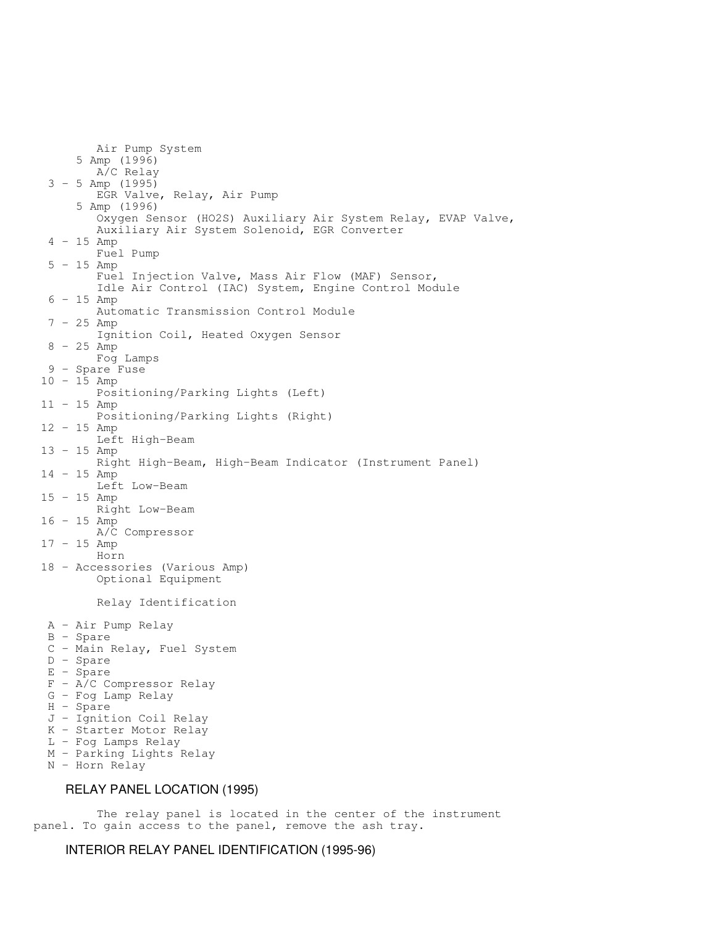Air Pump System 5 Amp (1996) A/C Relay 3 - 5 Amp (1995) EGR Valve, Relay, Air Pump 5 Amp (1996) Oxygen Sensor (HO2S) Auxiliary Air System Relay, EVAP Valve, Auxiliary Air System Solenoid, EGR Converter 4 - 15 Amp Fuel Pump 5 - 15 Amp Fuel Injection Valve, Mass Air Flow (MAF) Sensor, Idle Air Control (IAC) System, Engine Control Module  $6 - 15$  Amp Automatic Transmission Control Module  $7 - 25$  Amp Ignition Coil, Heated Oxygen Sensor  $8 - 25$  Amp Fog Lamps 9 - Spare Fuse 10 - 15 Amp Positioning/Parking Lights (Left) 11 - 15 Amp Positioning/Parking Lights (Right) 12 - 15 Amp Left High-Beam 13 - 15 Amp Right High-Beam, High-Beam Indicator (Instrument Panel) 14 - 15 Amp Left Low-Beam 15 - 15 Amp Right Low-Beam 16 - 15 Amp A/C Compressor 17 - 15 Amp Horn 18 - Accessories (Various Amp) Optional Equipment Relay Identification A - Air Pump Relay B - Spare C - Main Relay, Fuel System D - Spare E - Spare F - A/C Compressor Relay G - Fog Lamp Relay H - Spare J - Ignition Coil Relay K - Starter Motor Relay L - Fog Lamps Relay M - Parking Lights Relay N - Horn Relay RELAY PANEL LOCATION (1995)

 The relay panel is located in the center of the instrument panel. To gain access to the panel, remove the ash tray.

INTERIOR RELAY PANEL IDENTIFICATION (1995-96)